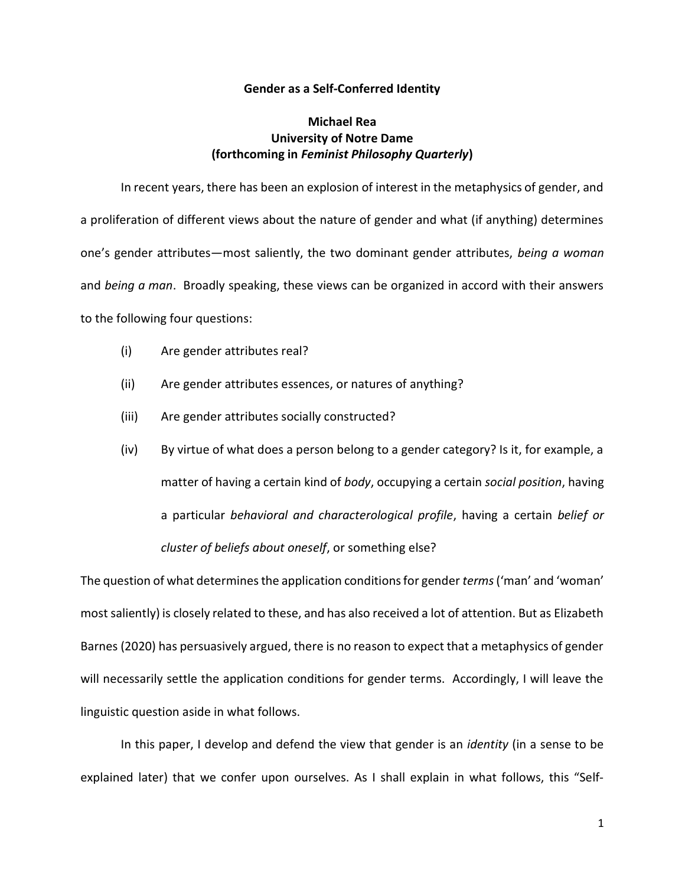#### Gender as a Self-Conferred Identity

# Michael Rea University of Notre Dame (forthcoming in Feminist Philosophy Quarterly)

In recent years, there has been an explosion of interest in the metaphysics of gender, and a proliferation of different views about the nature of gender and what (if anything) determines one's gender attributes—most saliently, the two dominant gender attributes, being a woman and *being a man*. Broadly speaking, these views can be organized in accord with their answers to the following four questions:

- (i) Are gender attributes real?
- (ii) Are gender attributes essences, or natures of anything?
- (iii) Are gender attributes socially constructed?
- (iv) By virtue of what does a person belong to a gender category? Is it, for example, a matter of having a certain kind of body, occupying a certain social position, having a particular behavioral and characterological profile, having a certain belief or cluster of beliefs about oneself, or something else?

The question of what determines the application conditions for gender terms ('man' and 'woman' most saliently) is closely related to these, and has also received a lot of attention. But as Elizabeth Barnes (2020) has persuasively argued, there is no reason to expect that a metaphysics of gender will necessarily settle the application conditions for gender terms. Accordingly, I will leave the linguistic question aside in what follows.

In this paper, I develop and defend the view that gender is an *identity* (in a sense to be explained later) that we confer upon ourselves. As I shall explain in what follows, this "Self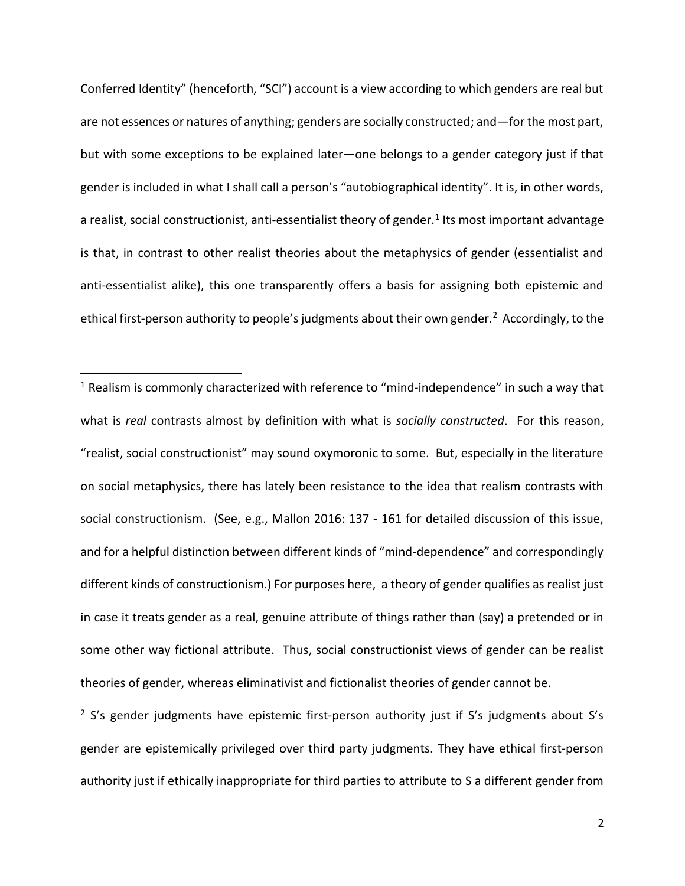Conferred Identity" (henceforth, "SCI") account is a view according to which genders are real but are not essences or natures of anything; genders are socially constructed; and—for the most part, but with some exceptions to be explained later—one belongs to a gender category just if that gender is included in what I shall call a person's "autobiographical identity". It is, in other words, a realist, social constructionist, anti-essentialist theory of gender.<sup>1</sup> Its most important advantage is that, in contrast to other realist theories about the metaphysics of gender (essentialist and anti-essentialist alike), this one transparently offers a basis for assigning both epistemic and ethical first-person authority to people's judgments about their own gender.<sup>2</sup> Accordingly, to the

<sup>2</sup> S's gender judgments have epistemic first-person authority just if S's judgments about S's gender are epistemically privileged over third party judgments. They have ethical first-person authority just if ethically inappropriate for third parties to attribute to S a different gender from

 $1$  Realism is commonly characterized with reference to "mind-independence" in such a way that what is real contrasts almost by definition with what is socially constructed. For this reason, "realist, social constructionist" may sound oxymoronic to some. But, especially in the literature on social metaphysics, there has lately been resistance to the idea that realism contrasts with social constructionism. (See, e.g., Mallon 2016: 137 - 161 for detailed discussion of this issue, and for a helpful distinction between different kinds of "mind-dependence" and correspondingly different kinds of constructionism.) For purposes here, a theory of gender qualifies as realist just in case it treats gender as a real, genuine attribute of things rather than (say) a pretended or in some other way fictional attribute. Thus, social constructionist views of gender can be realist theories of gender, whereas eliminativist and fictionalist theories of gender cannot be.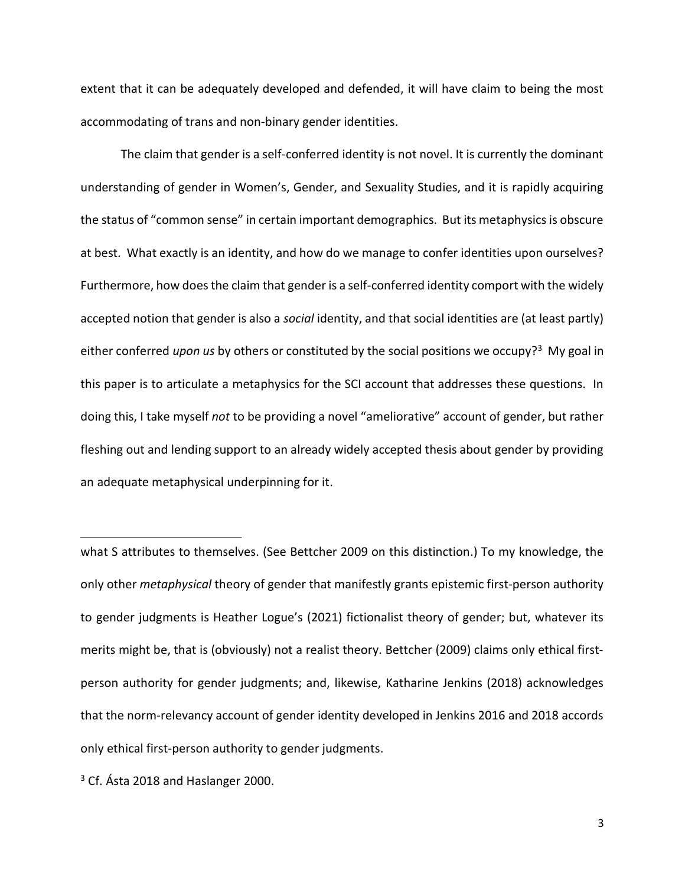extent that it can be adequately developed and defended, it will have claim to being the most accommodating of trans and non-binary gender identities.

The claim that gender is a self-conferred identity is not novel. It is currently the dominant understanding of gender in Women's, Gender, and Sexuality Studies, and it is rapidly acquiring the status of "common sense" in certain important demographics. But its metaphysics is obscure at best. What exactly is an identity, and how do we manage to confer identities upon ourselves? Furthermore, how does the claim that gender is a self-conferred identity comport with the widely accepted notion that gender is also a *social* identity, and that social identities are (at least partly) either conferred upon us by others or constituted by the social positions we occupy?<sup>3</sup> My goal in this paper is to articulate a metaphysics for the SCI account that addresses these questions. In doing this, I take myself not to be providing a novel "ameliorative" account of gender, but rather fleshing out and lending support to an already widely accepted thesis about gender by providing an adequate metaphysical underpinning for it.

what S attributes to themselves. (See Bettcher 2009 on this distinction.) To my knowledge, the only other metaphysical theory of gender that manifestly grants epistemic first-person authority to gender judgments is Heather Logue's (2021) fictionalist theory of gender; but, whatever its merits might be, that is (obviously) not a realist theory. Bettcher (2009) claims only ethical firstperson authority for gender judgments; and, likewise, Katharine Jenkins (2018) acknowledges that the norm-relevancy account of gender identity developed in Jenkins 2016 and 2018 accords only ethical first-person authority to gender judgments.

<sup>&</sup>lt;sup>3</sup> Cf. Ásta 2018 and Haslanger 2000.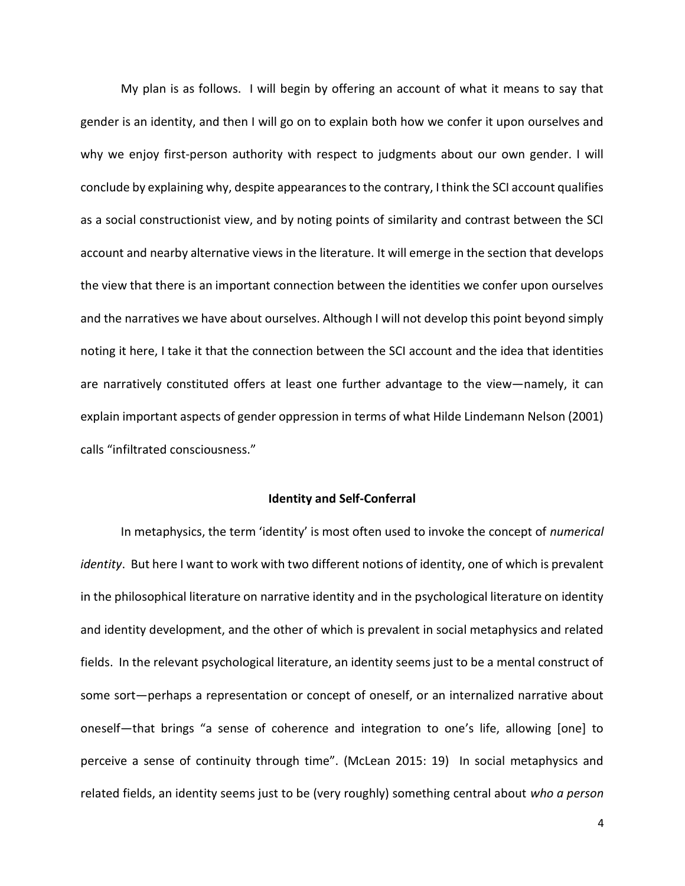My plan is as follows. I will begin by offering an account of what it means to say that gender is an identity, and then I will go on to explain both how we confer it upon ourselves and why we enjoy first-person authority with respect to judgments about our own gender. I will conclude by explaining why, despite appearances to the contrary, I think the SCI account qualifies as a social constructionist view, and by noting points of similarity and contrast between the SCI account and nearby alternative views in the literature. It will emerge in the section that develops the view that there is an important connection between the identities we confer upon ourselves and the narratives we have about ourselves. Although I will not develop this point beyond simply noting it here, I take it that the connection between the SCI account and the idea that identities are narratively constituted offers at least one further advantage to the view—namely, it can explain important aspects of gender oppression in terms of what Hilde Lindemann Nelson (2001) calls "infiltrated consciousness."

#### Identity and Self-Conferral

In metaphysics, the term 'identity' is most often used to invoke the concept of numerical identity. But here I want to work with two different notions of identity, one of which is prevalent in the philosophical literature on narrative identity and in the psychological literature on identity and identity development, and the other of which is prevalent in social metaphysics and related fields. In the relevant psychological literature, an identity seems just to be a mental construct of some sort—perhaps a representation or concept of oneself, or an internalized narrative about oneself—that brings "a sense of coherence and integration to one's life, allowing [one] to perceive a sense of continuity through time". (McLean 2015: 19) In social metaphysics and related fields, an identity seems just to be (very roughly) something central about who a person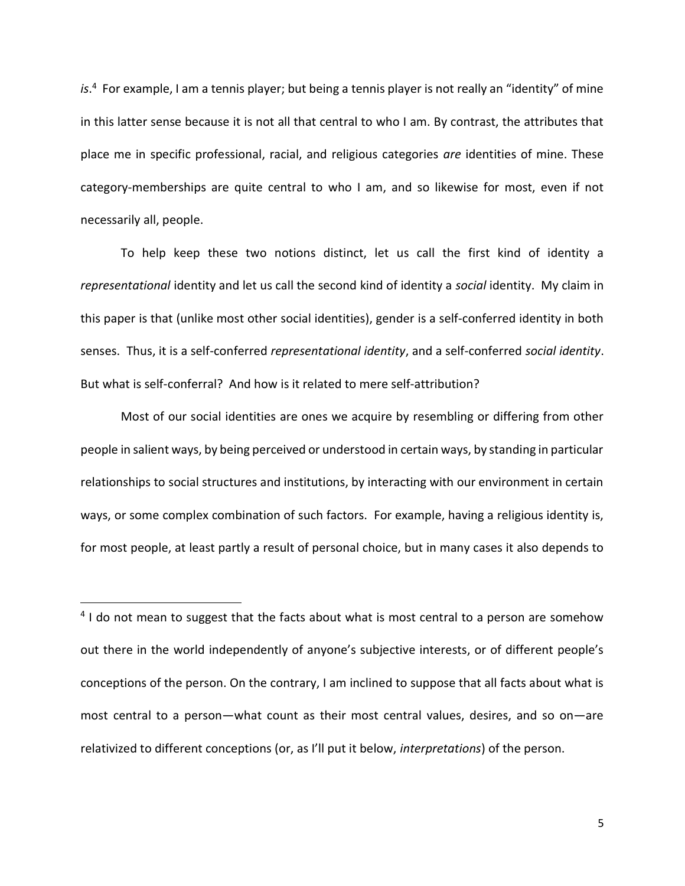is.<sup>4</sup> For example, I am a tennis player; but being a tennis player is not really an "identity" of mine in this latter sense because it is not all that central to who I am. By contrast, the attributes that place me in specific professional, racial, and religious categories are identities of mine. These category-memberships are quite central to who I am, and so likewise for most, even if not necessarily all, people.

To help keep these two notions distinct, let us call the first kind of identity a representational identity and let us call the second kind of identity a *social* identity. My claim in this paper is that (unlike most other social identities), gender is a self-conferred identity in both senses. Thus, it is a self-conferred representational identity, and a self-conferred social identity. But what is self-conferral? And how is it related to mere self-attribution?

Most of our social identities are ones we acquire by resembling or differing from other people in salient ways, by being perceived or understood in certain ways, by standing in particular relationships to social structures and institutions, by interacting with our environment in certain ways, or some complex combination of such factors. For example, having a religious identity is, for most people, at least partly a result of personal choice, but in many cases it also depends to

 $4$  I do not mean to suggest that the facts about what is most central to a person are somehow out there in the world independently of anyone's subjective interests, or of different people's conceptions of the person. On the contrary, I am inclined to suppose that all facts about what is most central to a person—what count as their most central values, desires, and so on—are relativized to different conceptions (or, as I'll put it below, *interpretations*) of the person.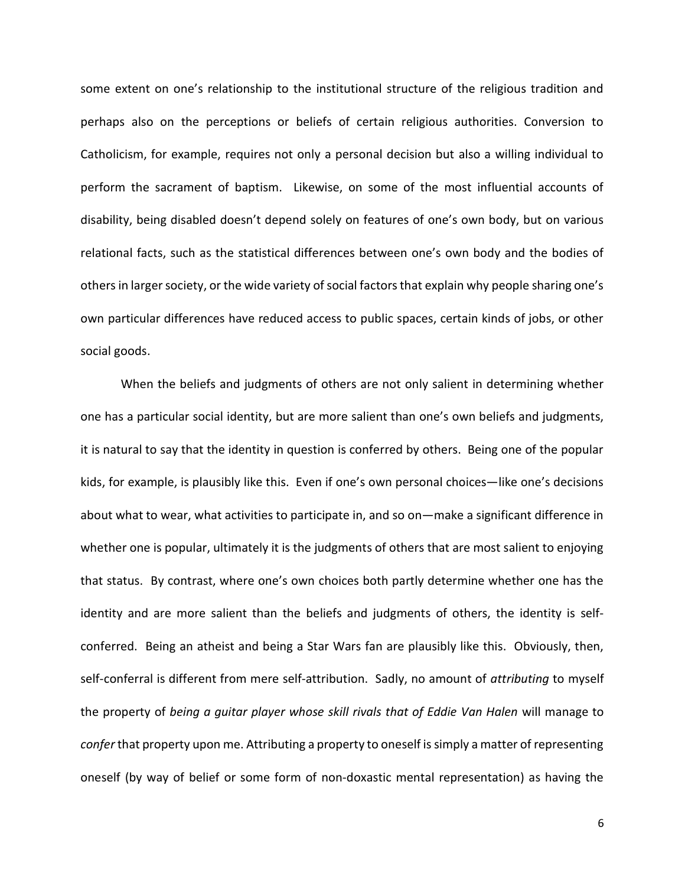some extent on one's relationship to the institutional structure of the religious tradition and perhaps also on the perceptions or beliefs of certain religious authorities. Conversion to Catholicism, for example, requires not only a personal decision but also a willing individual to perform the sacrament of baptism. Likewise, on some of the most influential accounts of disability, being disabled doesn't depend solely on features of one's own body, but on various relational facts, such as the statistical differences between one's own body and the bodies of others in larger society, or the wide variety of social factors that explain why people sharing one's own particular differences have reduced access to public spaces, certain kinds of jobs, or other social goods.

When the beliefs and judgments of others are not only salient in determining whether one has a particular social identity, but are more salient than one's own beliefs and judgments, it is natural to say that the identity in question is conferred by others. Being one of the popular kids, for example, is plausibly like this. Even if one's own personal choices—like one's decisions about what to wear, what activities to participate in, and so on—make a significant difference in whether one is popular, ultimately it is the judgments of others that are most salient to enjoying that status. By contrast, where one's own choices both partly determine whether one has the identity and are more salient than the beliefs and judgments of others, the identity is selfconferred. Being an atheist and being a Star Wars fan are plausibly like this. Obviously, then, self-conferral is different from mere self-attribution. Sadly, no amount of *attributing* to myself the property of being a quitar player whose skill rivals that of Eddie Van Halen will manage to confer that property upon me. Attributing a property to oneself is simply a matter of representing oneself (by way of belief or some form of non-doxastic mental representation) as having the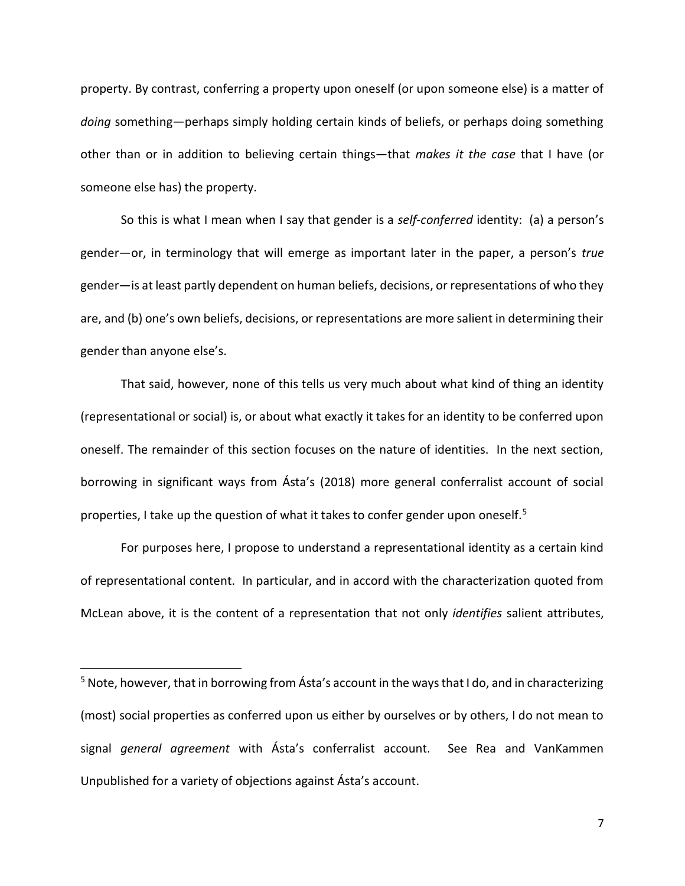property. By contrast, conferring a property upon oneself (or upon someone else) is a matter of doing something—perhaps simply holding certain kinds of beliefs, or perhaps doing something other than or in addition to believing certain things—that makes it the case that I have (or someone else has) the property.

So this is what I mean when I say that gender is a self-conferred identity: (a) a person's gender—or, in terminology that will emerge as important later in the paper, a person's true gender—is at least partly dependent on human beliefs, decisions, or representations of who they are, and (b) one's own beliefs, decisions, or representations are more salient in determining their gender than anyone else's.

That said, however, none of this tells us very much about what kind of thing an identity (representational or social) is, or about what exactly it takes for an identity to be conferred upon oneself. The remainder of this section focuses on the nature of identities. In the next section, borrowing in significant ways from Ásta's (2018) more general conferralist account of social properties, I take up the question of what it takes to confer gender upon oneself.<sup>5</sup>

For purposes here, I propose to understand a representational identity as a certain kind of representational content. In particular, and in accord with the characterization quoted from McLean above, it is the content of a representation that not only *identifies* salient attributes,

<sup>&</sup>lt;sup>5</sup> Note, however, that in borrowing from Ásta's account in the ways that I do, and in characterizing (most) social properties as conferred upon us either by ourselves or by others, I do not mean to signal *general agreement* with Asta's conferralist account. See Rea and VanKammen Unpublished for a variety of objections against Ásta's account.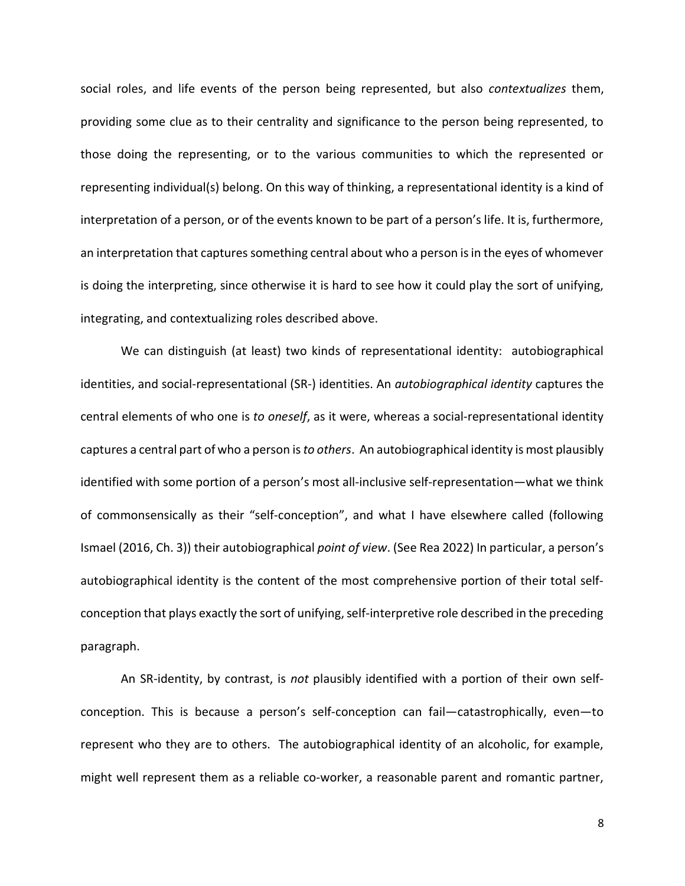social roles, and life events of the person being represented, but also *contextualizes* them, providing some clue as to their centrality and significance to the person being represented, to those doing the representing, or to the various communities to which the represented or representing individual(s) belong. On this way of thinking, a representational identity is a kind of interpretation of a person, or of the events known to be part of a person's life. It is, furthermore, an interpretation that captures something central about who a person is in the eyes of whomever is doing the interpreting, since otherwise it is hard to see how it could play the sort of unifying, integrating, and contextualizing roles described above.

We can distinguish (at least) two kinds of representational identity: autobiographical identities, and social-representational (SR-) identities. An *autobiographical identity* captures the central elements of who one is to oneself, as it were, whereas a social-representational identity captures a central part of who a person is to others. An autobiographical identity is most plausibly identified with some portion of a person's most all-inclusive self-representation—what we think of commonsensically as their "self-conception", and what I have elsewhere called (following Ismael (2016, Ch. 3)) their autobiographical point of view. (See Rea 2022) In particular, a person's autobiographical identity is the content of the most comprehensive portion of their total selfconception that plays exactly the sort of unifying, self-interpretive role described in the preceding paragraph.

An SR-identity, by contrast, is not plausibly identified with a portion of their own selfconception. This is because a person's self-conception can fail—catastrophically, even—to represent who they are to others. The autobiographical identity of an alcoholic, for example, might well represent them as a reliable co-worker, a reasonable parent and romantic partner,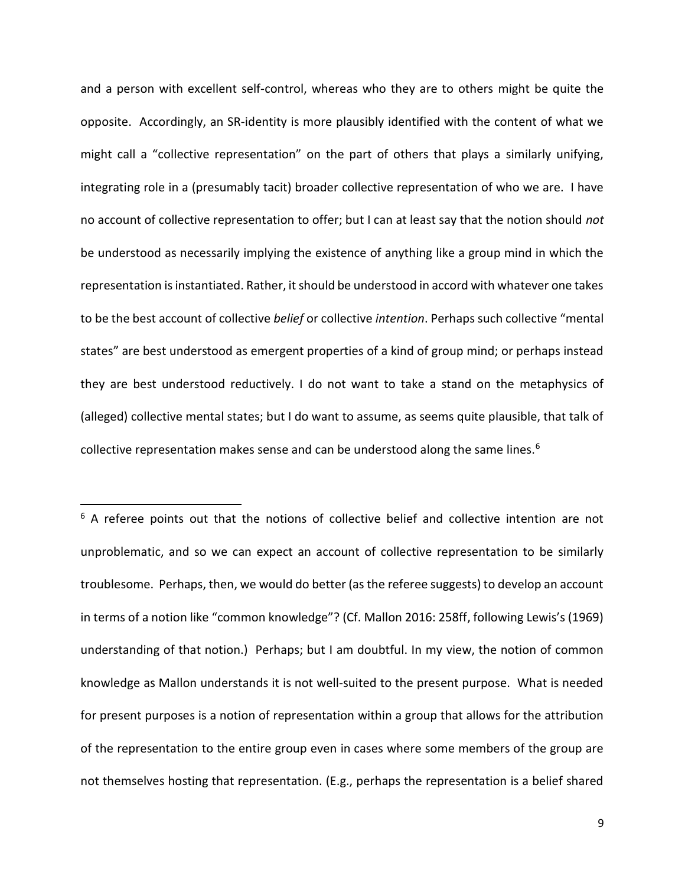and a person with excellent self-control, whereas who they are to others might be quite the opposite. Accordingly, an SR-identity is more plausibly identified with the content of what we might call a "collective representation" on the part of others that plays a similarly unifying, integrating role in a (presumably tacit) broader collective representation of who we are. I have no account of collective representation to offer; but I can at least say that the notion should not be understood as necessarily implying the existence of anything like a group mind in which the representation is instantiated. Rather, it should be understood in accord with whatever one takes to be the best account of collective *belief* or collective *intention*. Perhaps such collective "mental states" are best understood as emergent properties of a kind of group mind; or perhaps instead they are best understood reductively. I do not want to take a stand on the metaphysics of (alleged) collective mental states; but I do want to assume, as seems quite plausible, that talk of collective representation makes sense and can be understood along the same lines. $6$ 

<sup>&</sup>lt;sup>6</sup> A referee points out that the notions of collective belief and collective intention are not unproblematic, and so we can expect an account of collective representation to be similarly troublesome. Perhaps, then, we would do better (as the referee suggests) to develop an account in terms of a notion like "common knowledge"? (Cf. Mallon 2016: 258ff, following Lewis's (1969) understanding of that notion.) Perhaps; but I am doubtful. In my view, the notion of common knowledge as Mallon understands it is not well-suited to the present purpose. What is needed for present purposes is a notion of representation within a group that allows for the attribution of the representation to the entire group even in cases where some members of the group are not themselves hosting that representation. (E.g., perhaps the representation is a belief shared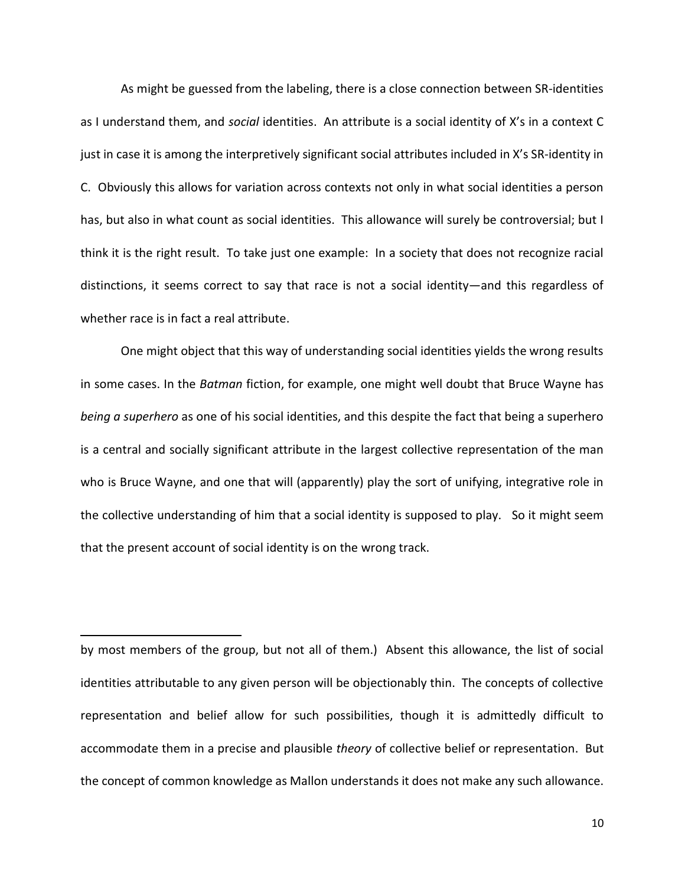As might be guessed from the labeling, there is a close connection between SR-identities as I understand them, and social identities. An attribute is a social identity of X's in a context C just in case it is among the interpretively significant social attributes included in X's SR-identity in C. Obviously this allows for variation across contexts not only in what social identities a person has, but also in what count as social identities. This allowance will surely be controversial; but I think it is the right result. To take just one example: In a society that does not recognize racial distinctions, it seems correct to say that race is not a social identity—and this regardless of whether race is in fact a real attribute.

One might object that this way of understanding social identities yields the wrong results in some cases. In the *Batman* fiction, for example, one might well doubt that Bruce Wayne has being a superhero as one of his social identities, and this despite the fact that being a superhero is a central and socially significant attribute in the largest collective representation of the man who is Bruce Wayne, and one that will (apparently) play the sort of unifying, integrative role in the collective understanding of him that a social identity is supposed to play. So it might seem that the present account of social identity is on the wrong track.

by most members of the group, but not all of them.) Absent this allowance, the list of social identities attributable to any given person will be objectionably thin. The concepts of collective representation and belief allow for such possibilities, though it is admittedly difficult to accommodate them in a precise and plausible theory of collective belief or representation. But the concept of common knowledge as Mallon understands it does not make any such allowance.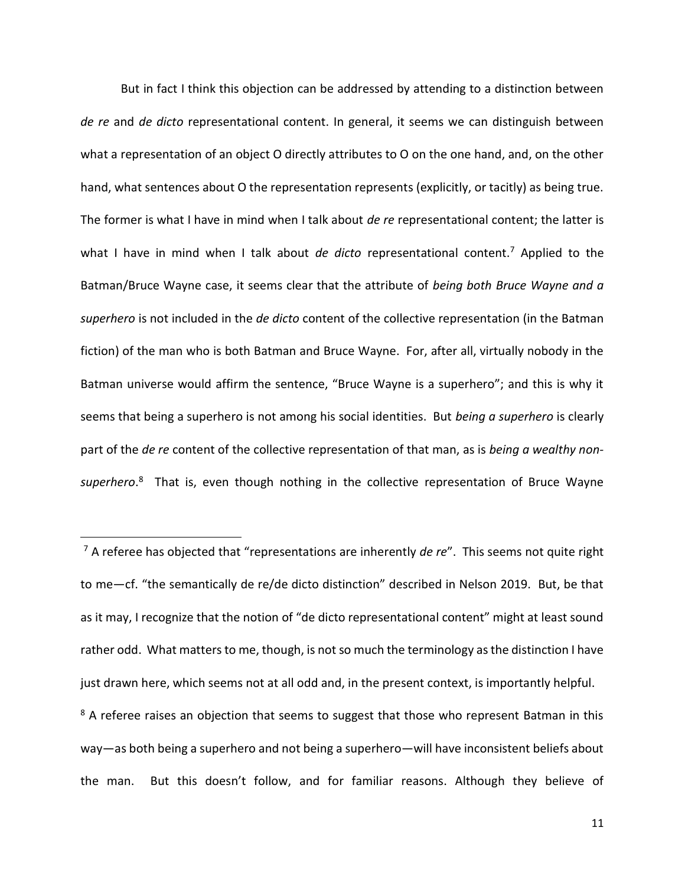But in fact I think this objection can be addressed by attending to a distinction between de re and de dicto representational content. In general, it seems we can distinguish between what a representation of an object O directly attributes to O on the one hand, and, on the other hand, what sentences about O the representation represents (explicitly, or tacitly) as being true. The former is what I have in mind when I talk about de re representational content; the latter is what I have in mind when I talk about de dicto representational content.<sup>7</sup> Applied to the Batman/Bruce Wayne case, it seems clear that the attribute of being both Bruce Wayne and a superhero is not included in the de dicto content of the collective representation (in the Batman fiction) of the man who is both Batman and Bruce Wayne. For, after all, virtually nobody in the Batman universe would affirm the sentence, "Bruce Wayne is a superhero"; and this is why it seems that being a superhero is not among his social identities. But being a superhero is clearly part of the de re content of the collective representation of that man, as is being a wealthy nonsuperhero.<sup>8</sup> That is, even though nothing in the collective representation of Bruce Wayne

<sup>&</sup>lt;sup>7</sup> A referee has objected that "representations are inherently de re". This seems not quite right to me—cf. "the semantically de re/de dicto distinction" described in Nelson 2019. But, be that as it may, I recognize that the notion of "de dicto representational content" might at least sound rather odd. What matters to me, though, is not so much the terminology as the distinction I have just drawn here, which seems not at all odd and, in the present context, is importantly helpful.

<sup>&</sup>lt;sup>8</sup> A referee raises an objection that seems to suggest that those who represent Batman in this way—as both being a superhero and not being a superhero—will have inconsistent beliefs about the man. But this doesn't follow, and for familiar reasons. Although they believe of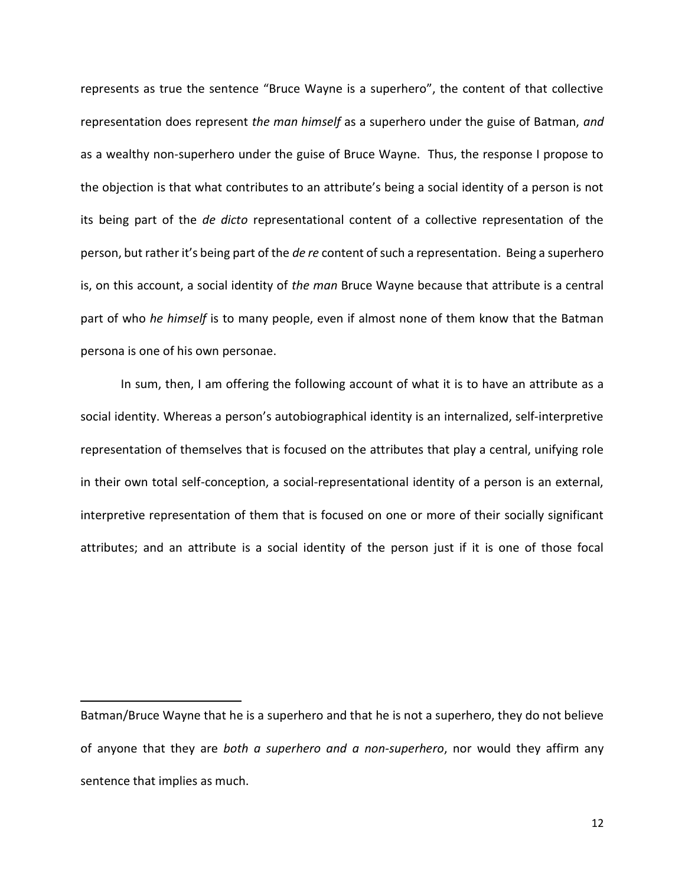represents as true the sentence "Bruce Wayne is a superhero", the content of that collective representation does represent the man himself as a superhero under the guise of Batman, and as a wealthy non-superhero under the guise of Bruce Wayne. Thus, the response I propose to the objection is that what contributes to an attribute's being a social identity of a person is not its being part of the de dicto representational content of a collective representation of the person, but rather it's being part of the *de re* content of such a representation. Being a superhero is, on this account, a social identity of the man Bruce Wayne because that attribute is a central part of who he himself is to many people, even if almost none of them know that the Batman persona is one of his own personae.

In sum, then, I am offering the following account of what it is to have an attribute as a social identity. Whereas a person's autobiographical identity is an internalized, self-interpretive representation of themselves that is focused on the attributes that play a central, unifying role in their own total self-conception, a social-representational identity of a person is an external, interpretive representation of them that is focused on one or more of their socially significant attributes; and an attribute is a social identity of the person just if it is one of those focal

 $\overline{a}$ 

Batman/Bruce Wayne that he is a superhero and that he is not a superhero, they do not believe of anyone that they are both a superhero and a non-superhero, nor would they affirm any sentence that implies as much.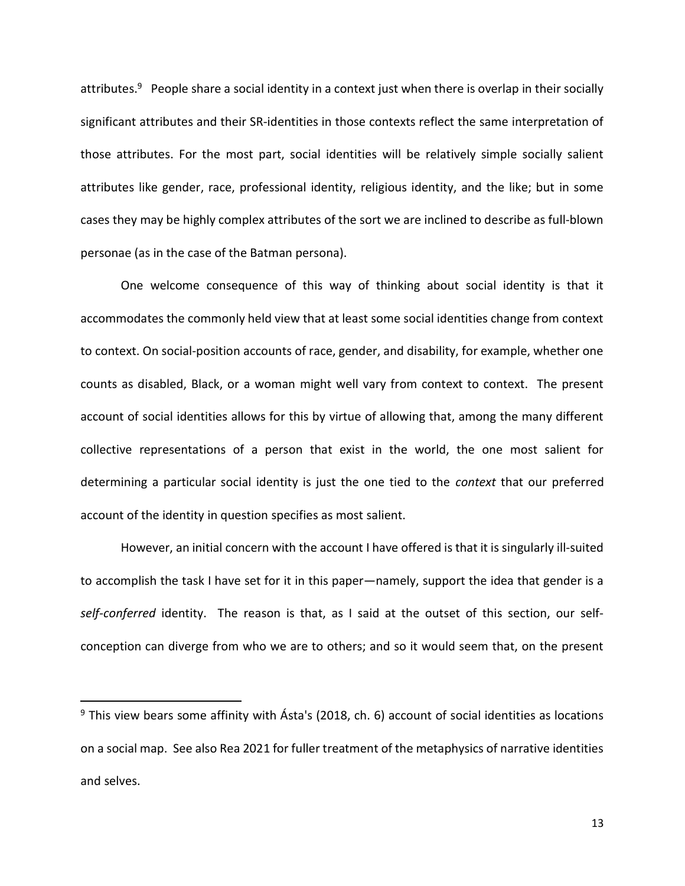attributes.<sup>9</sup> People share a social identity in a context just when there is overlap in their socially significant attributes and their SR-identities in those contexts reflect the same interpretation of those attributes. For the most part, social identities will be relatively simple socially salient attributes like gender, race, professional identity, religious identity, and the like; but in some cases they may be highly complex attributes of the sort we are inclined to describe as full-blown personae (as in the case of the Batman persona).

One welcome consequence of this way of thinking about social identity is that it accommodates the commonly held view that at least some social identities change from context to context. On social-position accounts of race, gender, and disability, for example, whether one counts as disabled, Black, or a woman might well vary from context to context. The present account of social identities allows for this by virtue of allowing that, among the many different collective representations of a person that exist in the world, the one most salient for determining a particular social identity is just the one tied to the context that our preferred account of the identity in question specifies as most salient.

However, an initial concern with the account I have offered is that it is singularly ill-suited to accomplish the task I have set for it in this paper—namely, support the idea that gender is a self-conferred identity. The reason is that, as I said at the outset of this section, our selfconception can diverge from who we are to others; and so it would seem that, on the present

 $\overline{a}$ 

<sup>&</sup>lt;sup>9</sup> This view bears some affinity with Ásta's (2018, ch. 6) account of social identities as locations on a social map. See also Rea 2021 for fuller treatment of the metaphysics of narrative identities and selves.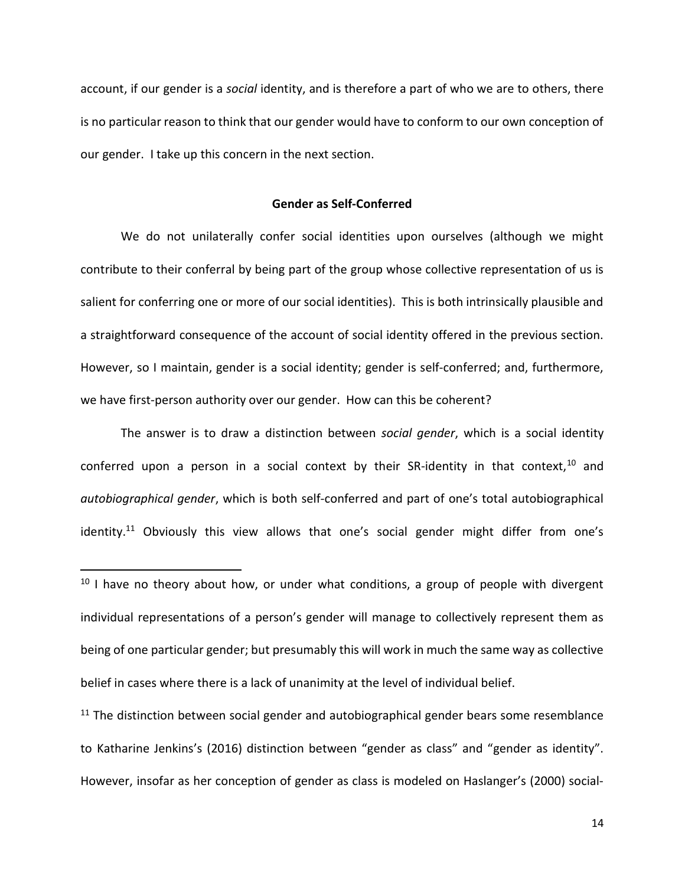account, if our gender is a social identity, and is therefore a part of who we are to others, there is no particular reason to think that our gender would have to conform to our own conception of our gender. I take up this concern in the next section.

## Gender as Self-Conferred

We do not unilaterally confer social identities upon ourselves (although we might contribute to their conferral by being part of the group whose collective representation of us is salient for conferring one or more of our social identities). This is both intrinsically plausible and a straightforward consequence of the account of social identity offered in the previous section. However, so I maintain, gender is a social identity; gender is self-conferred; and, furthermore, we have first-person authority over our gender. How can this be coherent?

The answer is to draw a distinction between social gender, which is a social identity conferred upon a person in a social context by their SR-identity in that context,  $10$  and autobiographical gender, which is both self-conferred and part of one's total autobiographical identity.<sup>11</sup> Obviously this view allows that one's social gender might differ from one's

 $11$  The distinction between social gender and autobiographical gender bears some resemblance to Katharine Jenkins's (2016) distinction between "gender as class" and "gender as identity". However, insofar as her conception of gender as class is modeled on Haslanger's (2000) social-

 $10$  I have no theory about how, or under what conditions, a group of people with divergent individual representations of a person's gender will manage to collectively represent them as being of one particular gender; but presumably this will work in much the same way as collective belief in cases where there is a lack of unanimity at the level of individual belief.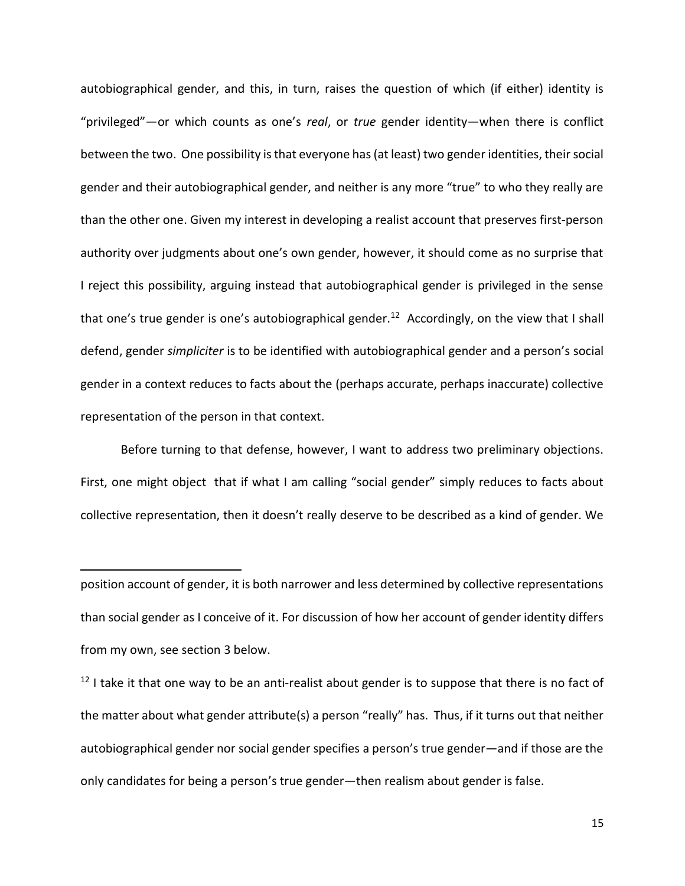autobiographical gender, and this, in turn, raises the question of which (if either) identity is "privileged"—or which counts as one's real, or true gender identity—when there is conflict between the two. One possibility is that everyone has (at least) two gender identities, their social gender and their autobiographical gender, and neither is any more "true" to who they really are than the other one. Given my interest in developing a realist account that preserves first-person authority over judgments about one's own gender, however, it should come as no surprise that I reject this possibility, arguing instead that autobiographical gender is privileged in the sense that one's true gender is one's autobiographical gender.<sup>12</sup> Accordingly, on the view that I shall defend, gender simpliciter is to be identified with autobiographical gender and a person's social gender in a context reduces to facts about the (perhaps accurate, perhaps inaccurate) collective representation of the person in that context.

Before turning to that defense, however, I want to address two preliminary objections. First, one might object that if what I am calling "social gender" simply reduces to facts about collective representation, then it doesn't really deserve to be described as a kind of gender. We

position account of gender, it is both narrower and less determined by collective representations than social gender as I conceive of it. For discussion of how her account of gender identity differs from my own, see section 3 below.

 $12$  I take it that one way to be an anti-realist about gender is to suppose that there is no fact of the matter about what gender attribute(s) a person "really" has. Thus, if it turns out that neither autobiographical gender nor social gender specifies a person's true gender—and if those are the only candidates for being a person's true gender—then realism about gender is false.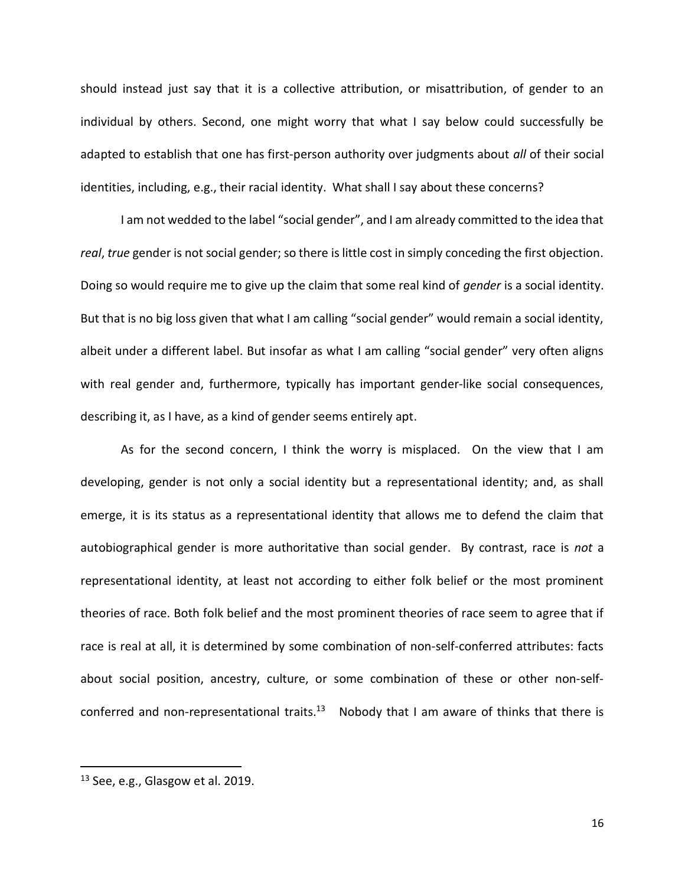should instead just say that it is a collective attribution, or misattribution, of gender to an individual by others. Second, one might worry that what I say below could successfully be adapted to establish that one has first-person authority over judgments about all of their social identities, including, e.g., their racial identity. What shall I say about these concerns?

I am not wedded to the label "social gender", and I am already committed to the idea that real, true gender is not social gender; so there is little cost in simply conceding the first objection. Doing so would require me to give up the claim that some real kind of *gender* is a social identity. But that is no big loss given that what I am calling "social gender" would remain a social identity, albeit under a different label. But insofar as what I am calling "social gender" very often aligns with real gender and, furthermore, typically has important gender-like social consequences, describing it, as I have, as a kind of gender seems entirely apt.

As for the second concern, I think the worry is misplaced. On the view that I am developing, gender is not only a social identity but a representational identity; and, as shall emerge, it is its status as a representational identity that allows me to defend the claim that autobiographical gender is more authoritative than social gender. By contrast, race is not a representational identity, at least not according to either folk belief or the most prominent theories of race. Both folk belief and the most prominent theories of race seem to agree that if race is real at all, it is determined by some combination of non-self-conferred attributes: facts about social position, ancestry, culture, or some combination of these or other non-selfconferred and non-representational traits.<sup>13</sup> Nobody that I am aware of thinks that there is

 $\overline{a}$ 

 $13$  See, e.g., Glasgow et al. 2019.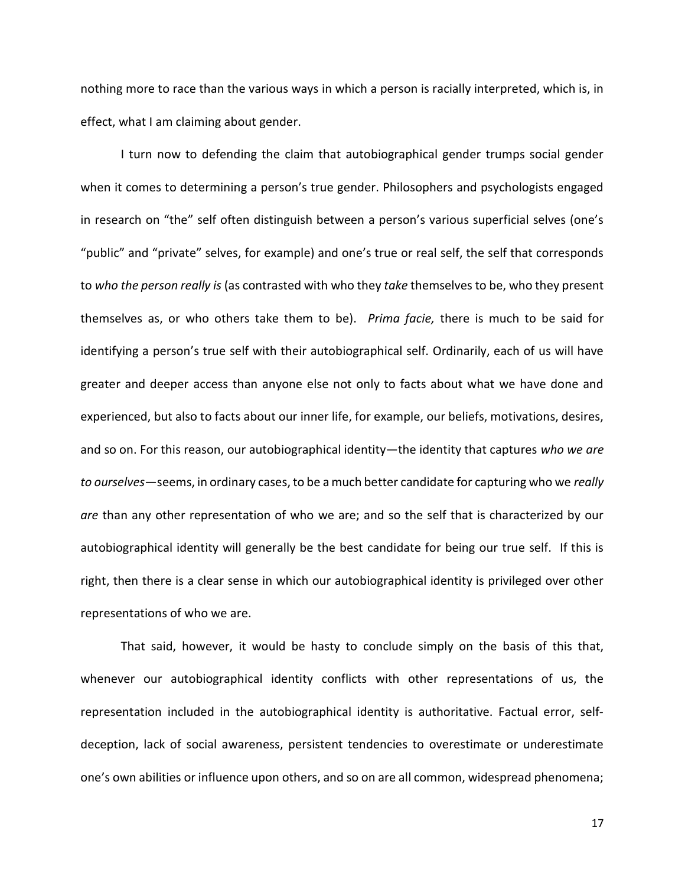nothing more to race than the various ways in which a person is racially interpreted, which is, in effect, what I am claiming about gender.

I turn now to defending the claim that autobiographical gender trumps social gender when it comes to determining a person's true gender. Philosophers and psychologists engaged in research on "the" self often distinguish between a person's various superficial selves (one's "public" and "private" selves, for example) and one's true or real self, the self that corresponds to who the person really is (as contrasted with who they take themselves to be, who they present themselves as, or who others take them to be). Prima facie, there is much to be said for identifying a person's true self with their autobiographical self. Ordinarily, each of us will have greater and deeper access than anyone else not only to facts about what we have done and experienced, but also to facts about our inner life, for example, our beliefs, motivations, desires, and so on. For this reason, our autobiographical identity—the identity that captures who we are to ourselves—seems, in ordinary cases, to be a much better candidate for capturing who we really are than any other representation of who we are; and so the self that is characterized by our autobiographical identity will generally be the best candidate for being our true self. If this is right, then there is a clear sense in which our autobiographical identity is privileged over other representations of who we are.

That said, however, it would be hasty to conclude simply on the basis of this that, whenever our autobiographical identity conflicts with other representations of us, the representation included in the autobiographical identity is authoritative. Factual error, selfdeception, lack of social awareness, persistent tendencies to overestimate or underestimate one's own abilities or influence upon others, and so on are all common, widespread phenomena;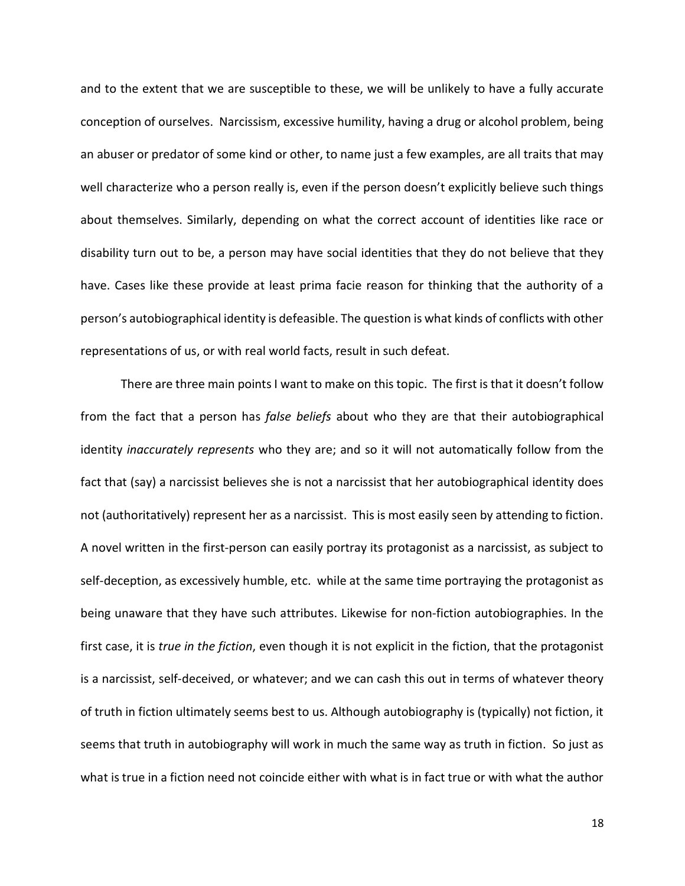and to the extent that we are susceptible to these, we will be unlikely to have a fully accurate conception of ourselves. Narcissism, excessive humility, having a drug or alcohol problem, being an abuser or predator of some kind or other, to name just a few examples, are all traits that may well characterize who a person really is, even if the person doesn't explicitly believe such things about themselves. Similarly, depending on what the correct account of identities like race or disability turn out to be, a person may have social identities that they do not believe that they have. Cases like these provide at least prima facie reason for thinking that the authority of a person's autobiographical identity is defeasible. The question is what kinds of conflicts with other representations of us, or with real world facts, result in such defeat.

There are three main points I want to make on this topic. The first is that it doesn't follow from the fact that a person has false beliefs about who they are that their autobiographical identity *inaccurately represents* who they are; and so it will not automatically follow from the fact that (say) a narcissist believes she is not a narcissist that her autobiographical identity does not (authoritatively) represent her as a narcissist. This is most easily seen by attending to fiction. A novel written in the first-person can easily portray its protagonist as a narcissist, as subject to self-deception, as excessively humble, etc. while at the same time portraying the protagonist as being unaware that they have such attributes. Likewise for non-fiction autobiographies. In the first case, it is true in the fiction, even though it is not explicit in the fiction, that the protagonist is a narcissist, self-deceived, or whatever; and we can cash this out in terms of whatever theory of truth in fiction ultimately seems best to us. Although autobiography is (typically) not fiction, it seems that truth in autobiography will work in much the same way as truth in fiction. So just as what is true in a fiction need not coincide either with what is in fact true or with what the author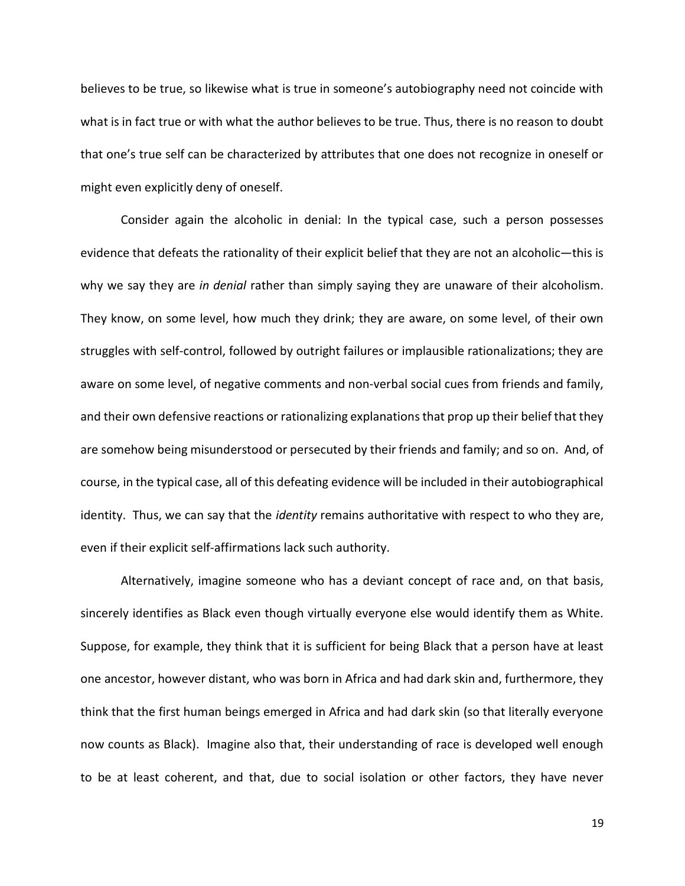believes to be true, so likewise what is true in someone's autobiography need not coincide with what is in fact true or with what the author believes to be true. Thus, there is no reason to doubt that one's true self can be characterized by attributes that one does not recognize in oneself or might even explicitly deny of oneself.

Consider again the alcoholic in denial: In the typical case, such a person possesses evidence that defeats the rationality of their explicit belief that they are not an alcoholic—this is why we say they are in denial rather than simply saying they are unaware of their alcoholism. They know, on some level, how much they drink; they are aware, on some level, of their own struggles with self-control, followed by outright failures or implausible rationalizations; they are aware on some level, of negative comments and non-verbal social cues from friends and family, and their own defensive reactions or rationalizing explanations that prop up their belief that they are somehow being misunderstood or persecuted by their friends and family; and so on. And, of course, in the typical case, all of this defeating evidence will be included in their autobiographical identity. Thus, we can say that the *identity* remains authoritative with respect to who they are, even if their explicit self-affirmations lack such authority.

Alternatively, imagine someone who has a deviant concept of race and, on that basis, sincerely identifies as Black even though virtually everyone else would identify them as White. Suppose, for example, they think that it is sufficient for being Black that a person have at least one ancestor, however distant, who was born in Africa and had dark skin and, furthermore, they think that the first human beings emerged in Africa and had dark skin (so that literally everyone now counts as Black). Imagine also that, their understanding of race is developed well enough to be at least coherent, and that, due to social isolation or other factors, they have never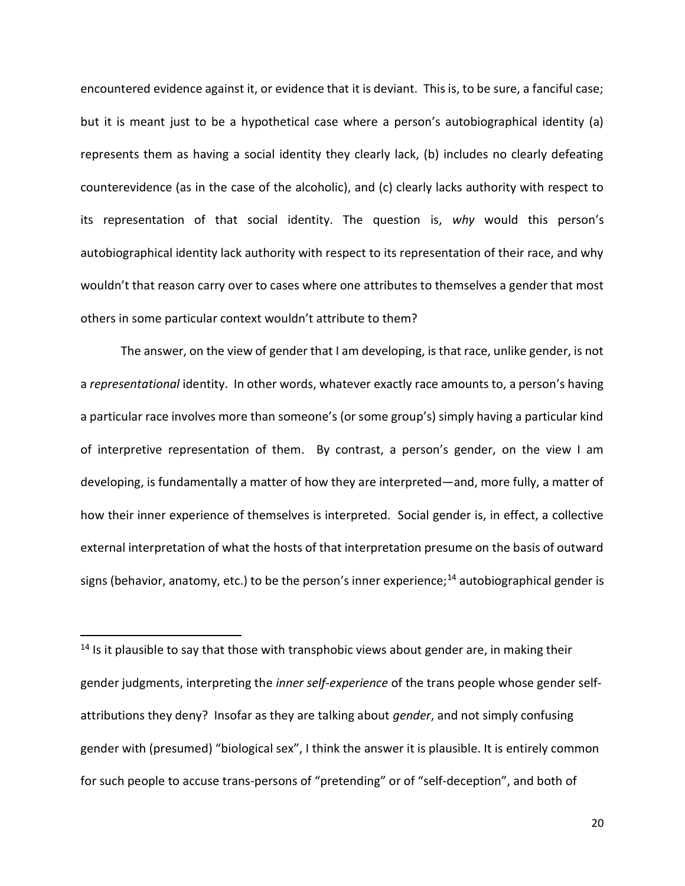encountered evidence against it, or evidence that it is deviant. This is, to be sure, a fanciful case; but it is meant just to be a hypothetical case where a person's autobiographical identity (a) represents them as having a social identity they clearly lack, (b) includes no clearly defeating counterevidence (as in the case of the alcoholic), and (c) clearly lacks authority with respect to its representation of that social identity. The question is, why would this person's autobiographical identity lack authority with respect to its representation of their race, and why wouldn't that reason carry over to cases where one attributes to themselves a gender that most others in some particular context wouldn't attribute to them?

The answer, on the view of gender that I am developing, is that race, unlike gender, is not a representational identity. In other words, whatever exactly race amounts to, a person's having a particular race involves more than someone's (or some group's) simply having a particular kind of interpretive representation of them. By contrast, a person's gender, on the view I am developing, is fundamentally a matter of how they are interpreted—and, more fully, a matter of how their inner experience of themselves is interpreted. Social gender is, in effect, a collective external interpretation of what the hosts of that interpretation presume on the basis of outward signs (behavior, anatomy, etc.) to be the person's inner experience;<sup>14</sup> autobiographical gender is

 $14$  Is it plausible to say that those with transphobic views about gender are, in making their gender judgments, interpreting the inner self-experience of the trans people whose gender selfattributions they deny? Insofar as they are talking about gender, and not simply confusing gender with (presumed) "biological sex", I think the answer it is plausible. It is entirely common for such people to accuse trans-persons of "pretending" or of "self-deception", and both of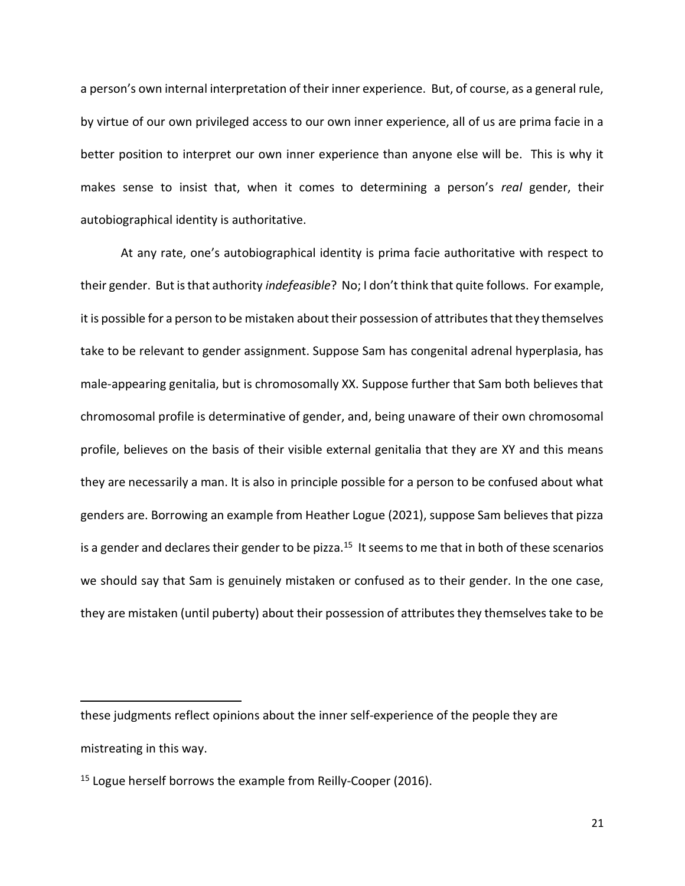a person's own internal interpretation of their inner experience. But, of course, as a general rule, by virtue of our own privileged access to our own inner experience, all of us are prima facie in a better position to interpret our own inner experience than anyone else will be. This is why it makes sense to insist that, when it comes to determining a person's real gender, their autobiographical identity is authoritative.

At any rate, one's autobiographical identity is prima facie authoritative with respect to their gender. But is that authority *indefeasible*? No; I don't think that quite follows. For example, it is possible for a person to be mistaken about their possession of attributes that they themselves take to be relevant to gender assignment. Suppose Sam has congenital adrenal hyperplasia, has male-appearing genitalia, but is chromosomally XX. Suppose further that Sam both believes that chromosomal profile is determinative of gender, and, being unaware of their own chromosomal profile, believes on the basis of their visible external genitalia that they are XY and this means they are necessarily a man. It is also in principle possible for a person to be confused about what genders are. Borrowing an example from Heather Logue (2021), suppose Sam believes that pizza is a gender and declares their gender to be pizza.<sup>15</sup> It seems to me that in both of these scenarios we should say that Sam is genuinely mistaken or confused as to their gender. In the one case, they are mistaken (until puberty) about their possession of attributes they themselves take to be

 $\overline{a}$ 

these judgments reflect opinions about the inner self-experience of the people they are mistreating in this way.

<sup>&</sup>lt;sup>15</sup> Logue herself borrows the example from Reilly-Cooper (2016).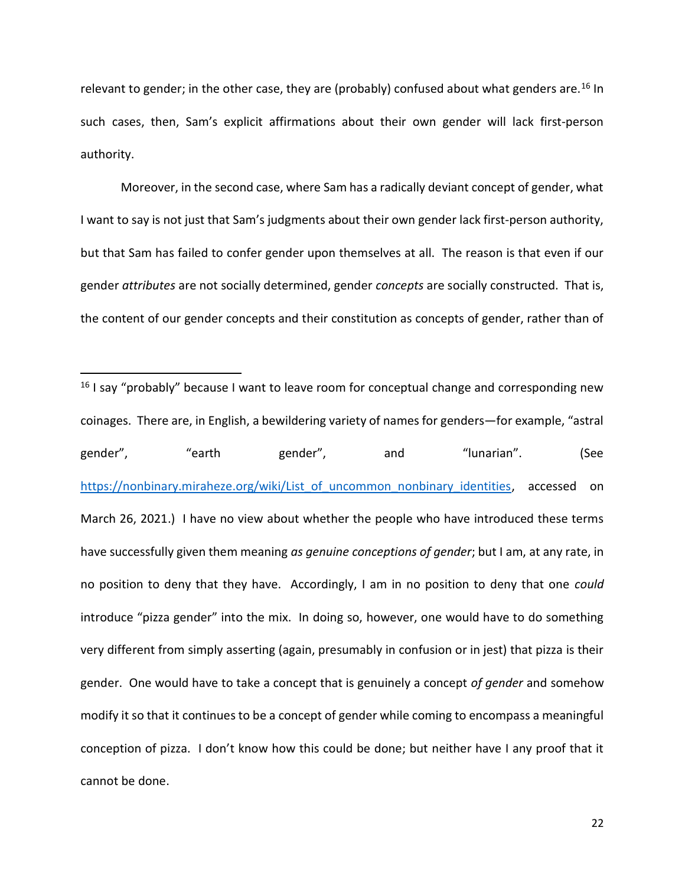relevant to gender; in the other case, they are (probably) confused about what genders are.<sup>16</sup> In such cases, then, Sam's explicit affirmations about their own gender will lack first-person authority.

Moreover, in the second case, where Sam has a radically deviant concept of gender, what I want to say is not just that Sam's judgments about their own gender lack first-person authority, but that Sam has failed to confer gender upon themselves at all. The reason is that even if our gender attributes are not socially determined, gender concepts are socially constructed. That is, the content of our gender concepts and their constitution as concepts of gender, rather than of

 $16$  I say "probably" because I want to leave room for conceptual change and corresponding new coinages. There are, in English, a bewildering variety of names for genders—for example, "astral gender", "earth gender", and "lunarian". (See https://nonbinary.miraheze.org/wiki/List\_of\_uncommon\_nonbinary\_identities, accessed on March 26, 2021.) I have no view about whether the people who have introduced these terms have successfully given them meaning as genuine conceptions of gender; but I am, at any rate, in no position to deny that they have. Accordingly, I am in no position to deny that one could introduce "pizza gender" into the mix. In doing so, however, one would have to do something very different from simply asserting (again, presumably in confusion or in jest) that pizza is their gender. One would have to take a concept that is genuinely a concept of gender and somehow modify it so that it continues to be a concept of gender while coming to encompass a meaningful conception of pizza. I don't know how this could be done; but neither have I any proof that it cannot be done.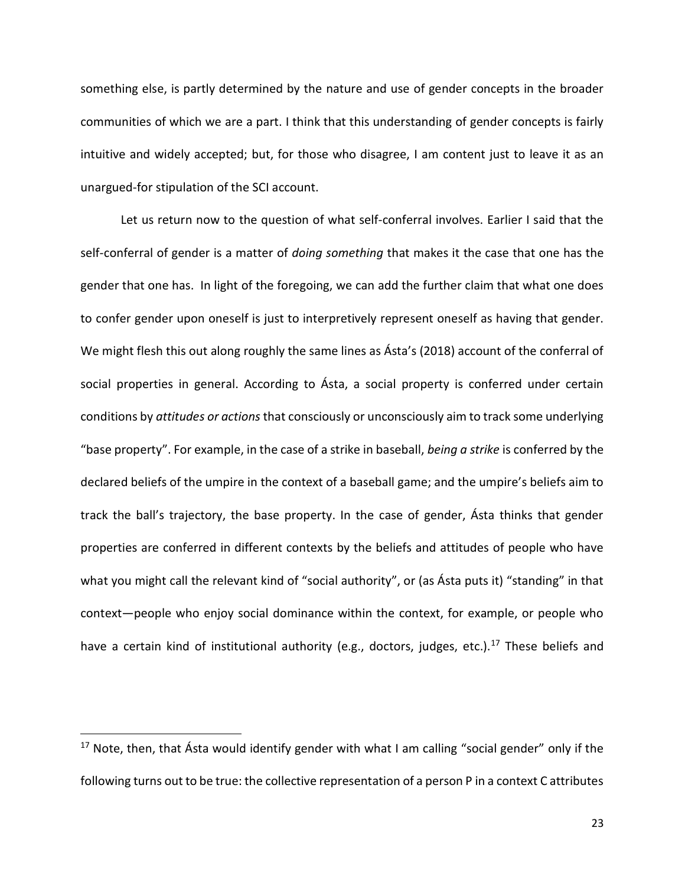something else, is partly determined by the nature and use of gender concepts in the broader communities of which we are a part. I think that this understanding of gender concepts is fairly intuitive and widely accepted; but, for those who disagree, I am content just to leave it as an unargued-for stipulation of the SCI account.

Let us return now to the question of what self-conferral involves. Earlier I said that the self-conferral of gender is a matter of *doing something* that makes it the case that one has the gender that one has. In light of the foregoing, we can add the further claim that what one does to confer gender upon oneself is just to interpretively represent oneself as having that gender. We might flesh this out along roughly the same lines as Ásta's (2018) account of the conferral of social properties in general. According to Ásta, a social property is conferred under certain conditions by attitudes or actions that consciously or unconsciously aim to track some underlying "base property". For example, in the case of a strike in baseball, being a strike is conferred by the declared beliefs of the umpire in the context of a baseball game; and the umpire's beliefs aim to track the ball's trajectory, the base property. In the case of gender, Ásta thinks that gender properties are conferred in different contexts by the beliefs and attitudes of people who have what you might call the relevant kind of "social authority", or (as Asta puts it) "standing" in that context—people who enjoy social dominance within the context, for example, or people who have a certain kind of institutional authority (e.g., doctors, judges, etc.).<sup>17</sup> These beliefs and

 $\overline{a}$ 

 $17$  Note, then, that Ásta would identify gender with what I am calling "social gender" only if the following turns out to be true: the collective representation of a person P in a context C attributes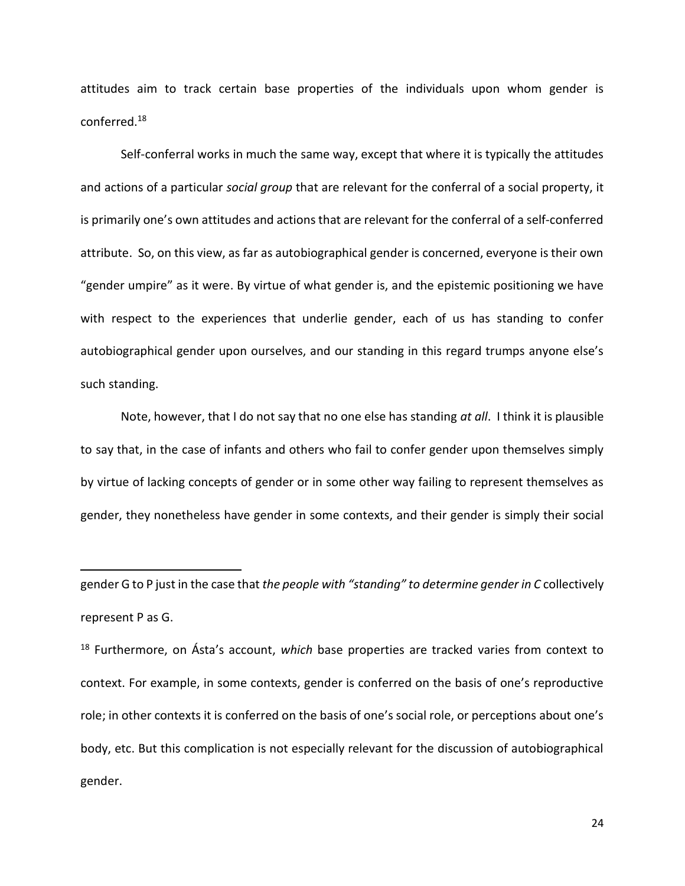attitudes aim to track certain base properties of the individuals upon whom gender is conferred.<sup>18</sup>

Self-conferral works in much the same way, except that where it is typically the attitudes and actions of a particular *social group* that are relevant for the conferral of a social property, it is primarily one's own attitudes and actions that are relevant for the conferral of a self-conferred attribute. So, on this view, as far as autobiographical gender is concerned, everyone is their own "gender umpire" as it were. By virtue of what gender is, and the epistemic positioning we have with respect to the experiences that underlie gender, each of us has standing to confer autobiographical gender upon ourselves, and our standing in this regard trumps anyone else's such standing.

Note, however, that I do not say that no one else has standing at all. I think it is plausible to say that, in the case of infants and others who fail to confer gender upon themselves simply by virtue of lacking concepts of gender or in some other way failing to represent themselves as gender, they nonetheless have gender in some contexts, and their gender is simply their social

gender G to P just in the case that the people with "standing" to determine gender in C collectively represent P as G.

 $18$  Furthermore, on Ásta's account, which base properties are tracked varies from context to context. For example, in some contexts, gender is conferred on the basis of one's reproductive role; in other contexts it is conferred on the basis of one's social role, or perceptions about one's body, etc. But this complication is not especially relevant for the discussion of autobiographical gender.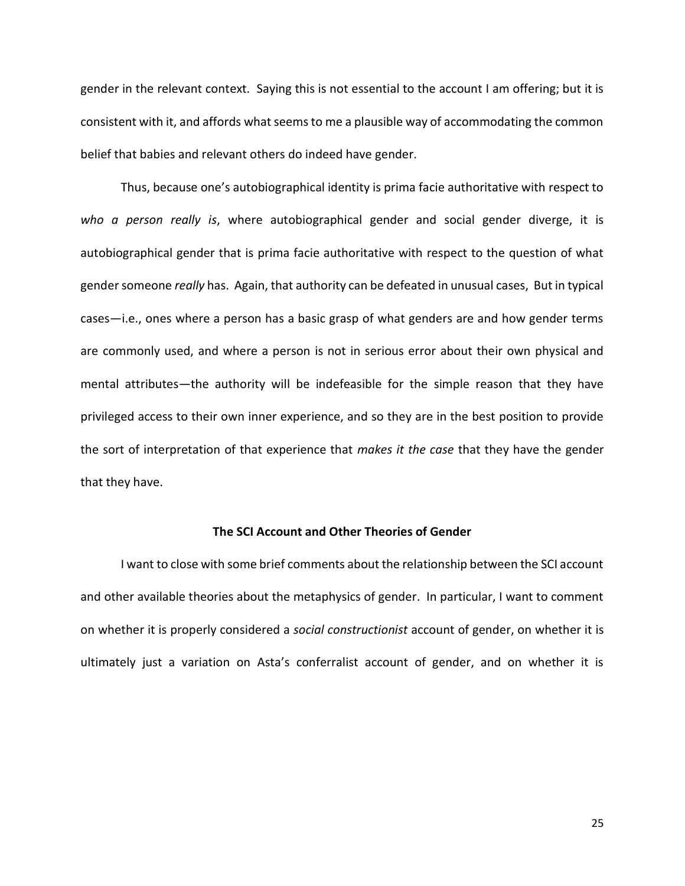gender in the relevant context. Saying this is not essential to the account I am offering; but it is consistent with it, and affords what seems to me a plausible way of accommodating the common belief that babies and relevant others do indeed have gender.

Thus, because one's autobiographical identity is prima facie authoritative with respect to who a person really is, where autobiographical gender and social gender diverge, it is autobiographical gender that is prima facie authoritative with respect to the question of what gender someone really has. Again, that authority can be defeated in unusual cases, But in typical cases—i.e., ones where a person has a basic grasp of what genders are and how gender terms are commonly used, and where a person is not in serious error about their own physical and mental attributes—the authority will be indefeasible for the simple reason that they have privileged access to their own inner experience, and so they are in the best position to provide the sort of interpretation of that experience that makes it the case that they have the gender that they have.

## The SCI Account and Other Theories of Gender

I want to close with some brief comments about the relationship between the SCI account and other available theories about the metaphysics of gender. In particular, I want to comment on whether it is properly considered a social constructionist account of gender, on whether it is ultimately just a variation on Asta's conferralist account of gender, and on whether it is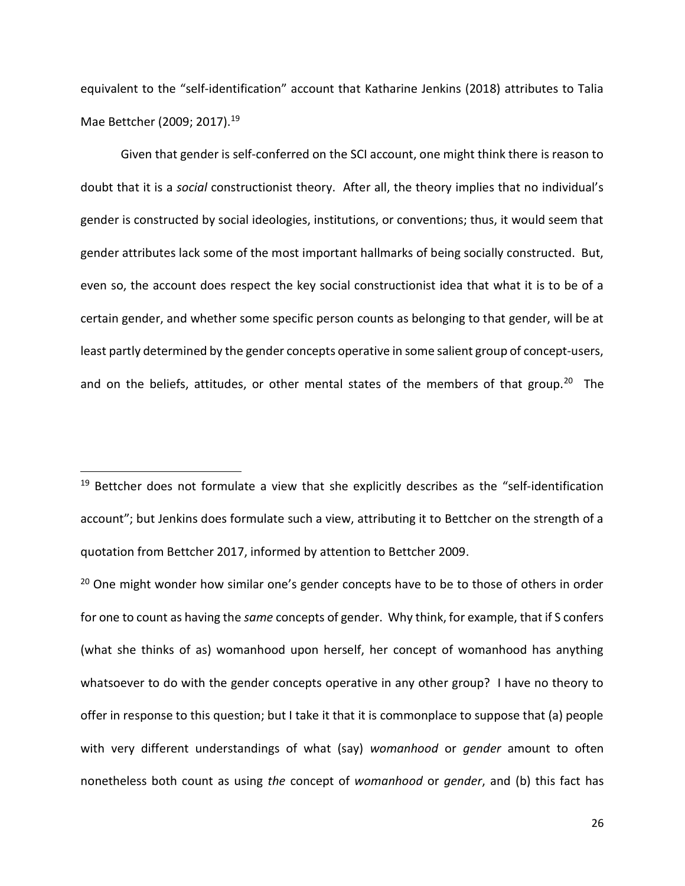equivalent to the "self-identification" account that Katharine Jenkins (2018) attributes to Talia Mae Bettcher (2009; 2017).<sup>19</sup>

Given that gender is self-conferred on the SCI account, one might think there is reason to doubt that it is a social constructionist theory. After all, the theory implies that no individual's gender is constructed by social ideologies, institutions, or conventions; thus, it would seem that gender attributes lack some of the most important hallmarks of being socially constructed. But, even so, the account does respect the key social constructionist idea that what it is to be of a certain gender, and whether some specific person counts as belonging to that gender, will be at least partly determined by the gender concepts operative in some salient group of concept-users, and on the beliefs, attitudes, or other mental states of the members of that group.<sup>20</sup> The

 $\overline{a}$ 

<sup>20</sup> One might wonder how similar one's gender concepts have to be to those of others in order for one to count as having the *same* concepts of gender. Why think, for example, that if S confers (what she thinks of as) womanhood upon herself, her concept of womanhood has anything whatsoever to do with the gender concepts operative in any other group? I have no theory to offer in response to this question; but I take it that it is commonplace to suppose that (a) people with very different understandings of what (say) womanhood or gender amount to often nonetheless both count as using the concept of womanhood or gender, and (b) this fact has

<sup>&</sup>lt;sup>19</sup> Bettcher does not formulate a view that she explicitly describes as the "self-identification account"; but Jenkins does formulate such a view, attributing it to Bettcher on the strength of a quotation from Bettcher 2017, informed by attention to Bettcher 2009.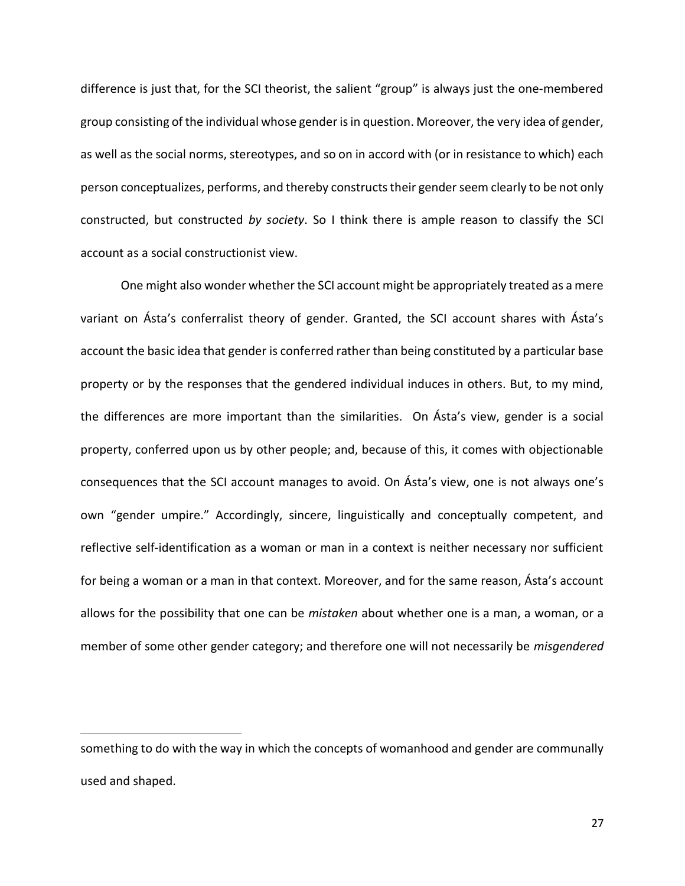difference is just that, for the SCI theorist, the salient "group" is always just the one-membered group consisting of the individual whose gender is in question. Moreover, the very idea of gender, as well as the social norms, stereotypes, and so on in accord with (or in resistance to which) each person conceptualizes, performs, and thereby constructs their gender seem clearly to be not only constructed, but constructed by society. So I think there is ample reason to classify the SCI account as a social constructionist view.

One might also wonder whether the SCI account might be appropriately treated as a mere variant on Ásta's conferralist theory of gender. Granted, the SCI account shares with Ásta's account the basic idea that gender is conferred rather than being constituted by a particular base property or by the responses that the gendered individual induces in others. But, to my mind, the differences are more important than the similarities. On Ásta's view, gender is a social property, conferred upon us by other people; and, because of this, it comes with objectionable consequences that the SCI account manages to avoid. On Ásta's view, one is not always one's own "gender umpire." Accordingly, sincere, linguistically and conceptually competent, and reflective self-identification as a woman or man in a context is neither necessary nor sufficient for being a woman or a man in that context. Moreover, and for the same reason, Ásta's account allows for the possibility that one can be *mistaken* about whether one is a man, a woman, or a member of some other gender category; and therefore one will not necessarily be *misgendered* 

 $\overline{a}$ 

something to do with the way in which the concepts of womanhood and gender are communally used and shaped.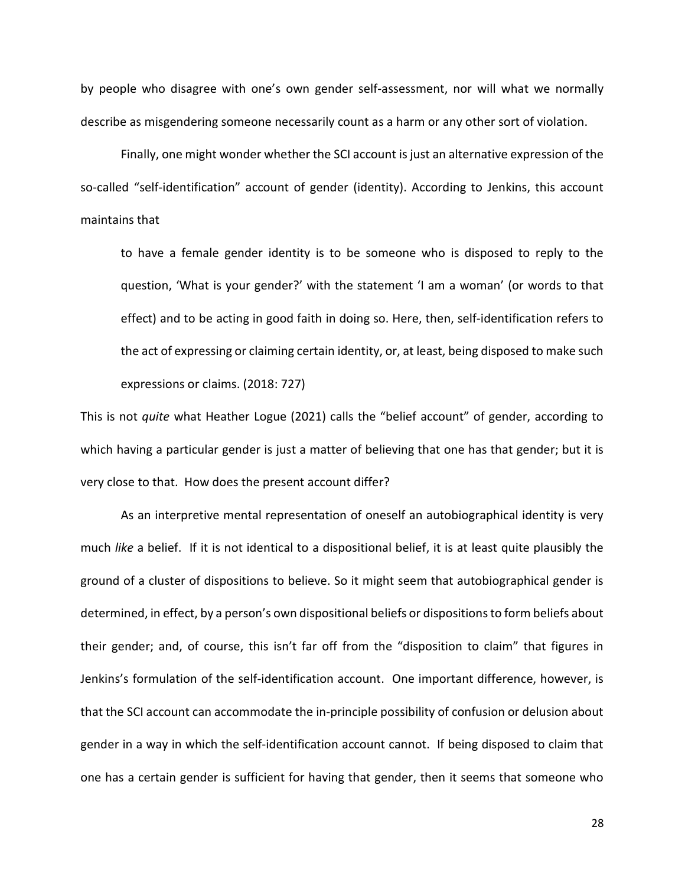by people who disagree with one's own gender self-assessment, nor will what we normally describe as misgendering someone necessarily count as a harm or any other sort of violation.

Finally, one might wonder whether the SCI account is just an alternative expression of the so-called "self-identification" account of gender (identity). According to Jenkins, this account maintains that

to have a female gender identity is to be someone who is disposed to reply to the question, 'What is your gender?' with the statement 'I am a woman' (or words to that effect) and to be acting in good faith in doing so. Here, then, self-identification refers to the act of expressing or claiming certain identity, or, at least, being disposed to make such expressions or claims. (2018: 727)

This is not quite what Heather Logue (2021) calls the "belief account" of gender, according to which having a particular gender is just a matter of believing that one has that gender; but it is very close to that. How does the present account differ?

As an interpretive mental representation of oneself an autobiographical identity is very much like a belief. If it is not identical to a dispositional belief, it is at least quite plausibly the ground of a cluster of dispositions to believe. So it might seem that autobiographical gender is determined, in effect, by a person's own dispositional beliefs or dispositions to form beliefs about their gender; and, of course, this isn't far off from the "disposition to claim" that figures in Jenkins's formulation of the self-identification account. One important difference, however, is that the SCI account can accommodate the in-principle possibility of confusion or delusion about gender in a way in which the self-identification account cannot. If being disposed to claim that one has a certain gender is sufficient for having that gender, then it seems that someone who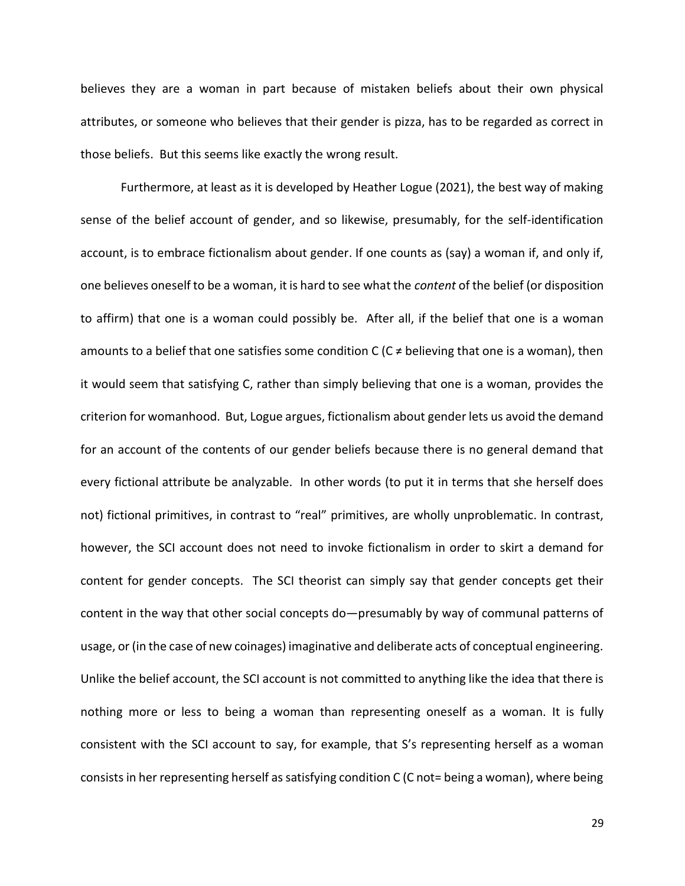believes they are a woman in part because of mistaken beliefs about their own physical attributes, or someone who believes that their gender is pizza, has to be regarded as correct in those beliefs. But this seems like exactly the wrong result.

Furthermore, at least as it is developed by Heather Logue (2021), the best way of making sense of the belief account of gender, and so likewise, presumably, for the self-identification account, is to embrace fictionalism about gender. If one counts as (say) a woman if, and only if, one believes oneself to be a woman, it is hard to see what the content of the belief (or disposition to affirm) that one is a woman could possibly be. After all, if the belief that one is a woman amounts to a belief that one satisfies some condition C ( $C \neq b$  believing that one is a woman), then it would seem that satisfying C, rather than simply believing that one is a woman, provides the criterion for womanhood. But, Logue argues, fictionalism about gender lets us avoid the demand for an account of the contents of our gender beliefs because there is no general demand that every fictional attribute be analyzable. In other words (to put it in terms that she herself does not) fictional primitives, in contrast to "real" primitives, are wholly unproblematic. In contrast, however, the SCI account does not need to invoke fictionalism in order to skirt a demand for content for gender concepts. The SCI theorist can simply say that gender concepts get their content in the way that other social concepts do—presumably by way of communal patterns of usage, or (in the case of new coinages) imaginative and deliberate acts of conceptual engineering. Unlike the belief account, the SCI account is not committed to anything like the idea that there is nothing more or less to being a woman than representing oneself as a woman. It is fully consistent with the SCI account to say, for example, that S's representing herself as a woman consists in her representing herself as satisfying condition C (C not= being a woman), where being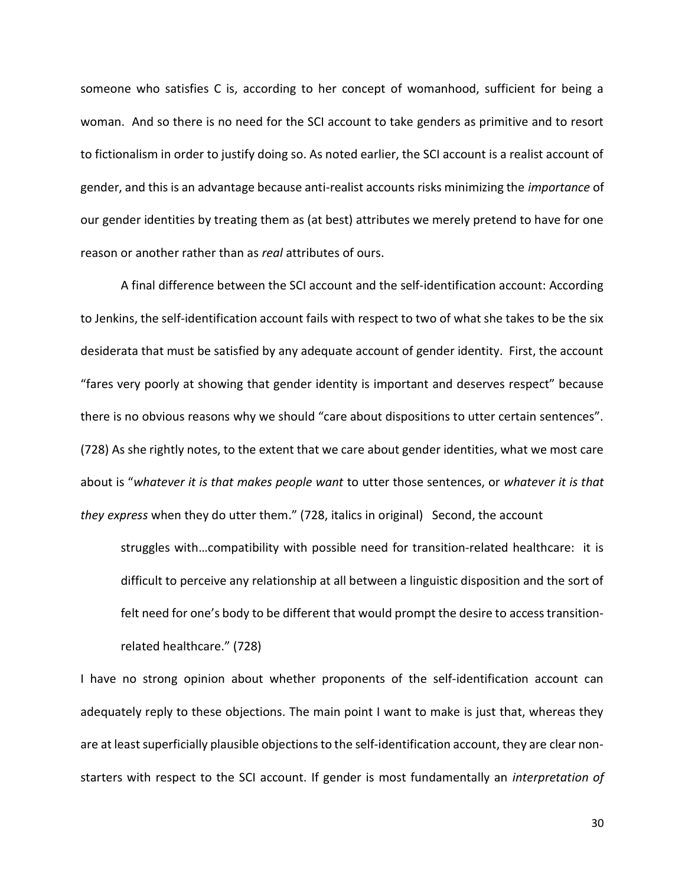someone who satisfies C is, according to her concept of womanhood, sufficient for being a woman. And so there is no need for the SCI account to take genders as primitive and to resort to fictionalism in order to justify doing so. As noted earlier, the SCI account is a realist account of gender, and this is an advantage because anti-realist accounts risks minimizing the *importance* of our gender identities by treating them as (at best) attributes we merely pretend to have for one reason or another rather than as real attributes of ours.

A final difference between the SCI account and the self-identification account: According to Jenkins, the self-identification account fails with respect to two of what she takes to be the six desiderata that must be satisfied by any adequate account of gender identity. First, the account "fares very poorly at showing that gender identity is important and deserves respect" because there is no obvious reasons why we should "care about dispositions to utter certain sentences". (728) As she rightly notes, to the extent that we care about gender identities, what we most care about is "whatever it is that makes people want to utter those sentences, or whatever it is that they express when they do utter them." (728, italics in original) Second, the account

struggles with…compatibility with possible need for transition-related healthcare: it is difficult to perceive any relationship at all between a linguistic disposition and the sort of felt need for one's body to be different that would prompt the desire to access transitionrelated healthcare." (728)

I have no strong opinion about whether proponents of the self-identification account can adequately reply to these objections. The main point I want to make is just that, whereas they are at least superficially plausible objections to the self-identification account, they are clear nonstarters with respect to the SCI account. If gender is most fundamentally an interpretation of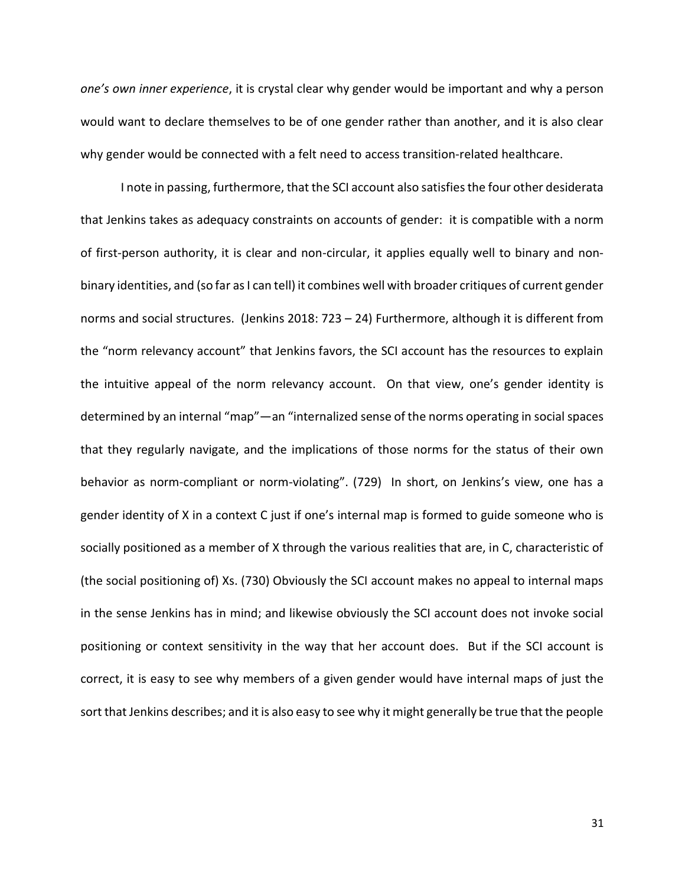one's own inner experience, it is crystal clear why gender would be important and why a person would want to declare themselves to be of one gender rather than another, and it is also clear why gender would be connected with a felt need to access transition-related healthcare.

 I note in passing, furthermore, that the SCI account also satisfies the four other desiderata that Jenkins takes as adequacy constraints on accounts of gender: it is compatible with a norm of first-person authority, it is clear and non-circular, it applies equally well to binary and nonbinary identities, and (so far as I can tell) it combines well with broader critiques of current gender norms and social structures. (Jenkins 2018: 723 – 24) Furthermore, although it is different from the "norm relevancy account" that Jenkins favors, the SCI account has the resources to explain the intuitive appeal of the norm relevancy account. On that view, one's gender identity is determined by an internal "map"—an "internalized sense of the norms operating in social spaces that they regularly navigate, and the implications of those norms for the status of their own behavior as norm-compliant or norm-violating". (729) In short, on Jenkins's view, one has a gender identity of X in a context C just if one's internal map is formed to guide someone who is socially positioned as a member of X through the various realities that are, in C, characteristic of (the social positioning of) Xs. (730) Obviously the SCI account makes no appeal to internal maps in the sense Jenkins has in mind; and likewise obviously the SCI account does not invoke social positioning or context sensitivity in the way that her account does. But if the SCI account is correct, it is easy to see why members of a given gender would have internal maps of just the sort that Jenkins describes; and it is also easy to see why it might generally be true that the people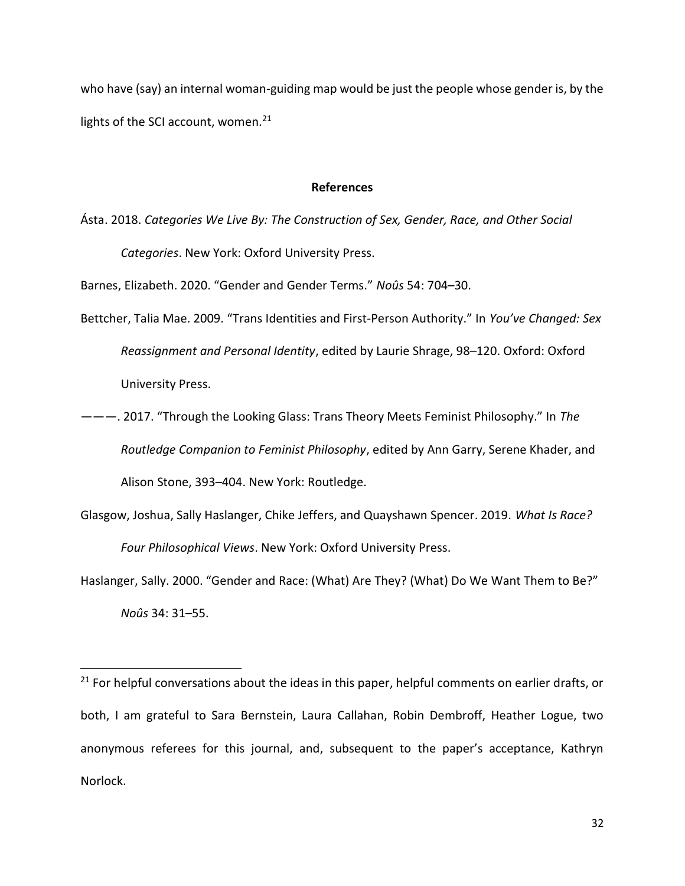who have (say) an internal woman-guiding map would be just the people whose gender is, by the lights of the SCI account, women.<sup>21</sup>

## References

Ásta. 2018. Categories We Live By: The Construction of Sex, Gender, Race, and Other Social Categories. New York: Oxford University Press.

Barnes, Elizabeth. 2020. "Gender and Gender Terms." Noûs 54: 704–30.

- Bettcher, Talia Mae. 2009. "Trans Identities and First-Person Authority." In You've Changed: Sex Reassignment and Personal Identity, edited by Laurie Shrage, 98–120. Oxford: Oxford University Press.
- ———. 2017. "Through the Looking Glass: Trans Theory Meets Feminist Philosophy." In The Routledge Companion to Feminist Philosophy, edited by Ann Garry, Serene Khader, and Alison Stone, 393–404. New York: Routledge.
- Glasgow, Joshua, Sally Haslanger, Chike Jeffers, and Quayshawn Spencer. 2019. What Is Race? Four Philosophical Views. New York: Oxford University Press.

Haslanger, Sally. 2000. "Gender and Race: (What) Are They? (What) Do We Want Them to Be?" Noûs 34: 31–55.

 $21$  For helpful conversations about the ideas in this paper, helpful comments on earlier drafts, or both, I am grateful to Sara Bernstein, Laura Callahan, Robin Dembroff, Heather Logue, two anonymous referees for this journal, and, subsequent to the paper's acceptance, Kathryn Norlock.